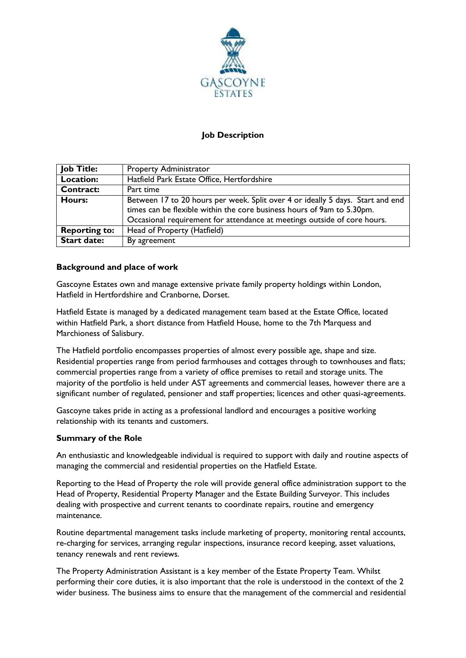

# **Job Description**

| <b>Job Title:</b>    | <b>Property Administrator</b>                                                  |
|----------------------|--------------------------------------------------------------------------------|
| Location:            | Hatfield Park Estate Office, Hertfordshire                                     |
| <b>Contract:</b>     | Part time                                                                      |
| Hours:               | Between 17 to 20 hours per week. Split over 4 or ideally 5 days. Start and end |
|                      | times can be flexible within the core business hours of 9am to 5.30pm.         |
|                      | Occasional requirement for attendance at meetings outside of core hours.       |
| <b>Reporting to:</b> | Head of Property (Hatfield)                                                    |
| <b>Start date:</b>   | By agreement                                                                   |

## **Background and place of work**

Gascoyne Estates own and manage extensive private family property holdings within London, Hatfield in Hertfordshire and Cranborne, Dorset.

Hatfield Estate is managed by a dedicated management team based at the Estate Office, located within Hatfield Park, a short distance from Hatfield House, home to the 7th Marquess and Marchioness of Salisbury.

The Hatfield portfolio encompasses properties of almost every possible age, shape and size. Residential properties range from period farmhouses and cottages through to townhouses and flats; commercial properties range from a variety of office premises to retail and storage units. The majority of the portfolio is held under AST agreements and commercial leases, however there are a significant number of regulated, pensioner and staff properties; licences and other quasi-agreements.

Gascoyne takes pride in acting as a professional landlord and encourages a positive working relationship with its tenants and customers.

## **Summary of the Role**

An enthusiastic and knowledgeable individual is required to support with daily and routine aspects of managing the commercial and residential properties on the Hatfield Estate.

Reporting to the Head of Property the role will provide general office administration support to the Head of Property, Residential Property Manager and the Estate Building Surveyor. This includes dealing with prospective and current tenants to coordinate repairs, routine and emergency maintenance.

Routine departmental management tasks include marketing of property, monitoring rental accounts, re-charging for services, arranging regular inspections, insurance record keeping, asset valuations, tenancy renewals and rent reviews.

The Property Administration Assistant is a key member of the Estate Property Team. Whilst performing their core duties, it is also important that the role is understood in the context of the 2 wider business. The business aims to ensure that the management of the commercial and residential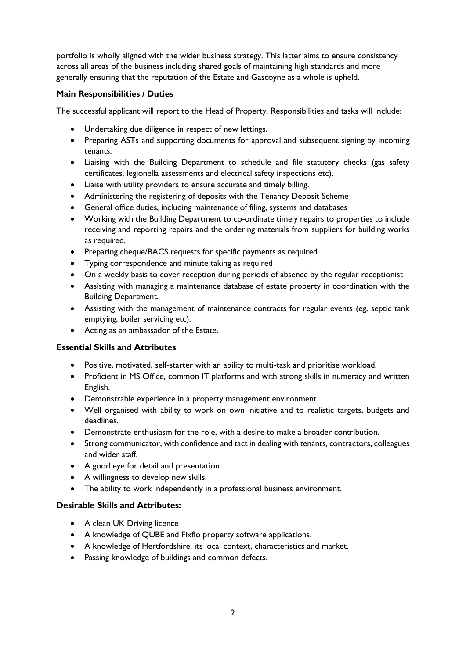portfolio is wholly aligned with the wider business strategy. This latter aims to ensure consistency across all areas of the business including shared goals of maintaining high standards and more generally ensuring that the reputation of the Estate and Gascoyne as a whole is upheld.

### **Main Responsibilities / Duties**

The successful applicant will report to the Head of Property. Responsibilities and tasks will include:

- Undertaking due diligence in respect of new lettings.
- Preparing ASTs and supporting documents for approval and subsequent signing by incoming tenants.
- Liaising with the Building Department to schedule and file statutory checks (gas safety certificates, legionella assessments and electrical safety inspections etc).
- Liaise with utility providers to ensure accurate and timely billing.
- Administering the registering of deposits with the Tenancy Deposit Scheme
- General office duties, including maintenance of filing, systems and databases
- Working with the Building Department to co-ordinate timely repairs to properties to include receiving and reporting repairs and the ordering materials from suppliers for building works as required.
- Preparing cheque/BACS requests for specific payments as required
- Typing correspondence and minute taking as required
- On a weekly basis to cover reception during periods of absence by the regular receptionist
- Assisting with managing a maintenance database of estate property in coordination with the Building Department.
- Assisting with the management of maintenance contracts for regular events (eg, septic tank emptying, boiler servicing etc).
- Acting as an ambassador of the Estate.

#### **Essential Skills and Attributes**

- Positive, motivated, self-starter with an ability to multi-task and prioritise workload.
- Proficient in MS Office, common IT platforms and with strong skills in numeracy and written English.
- Demonstrable experience in a property management environment.
- Well organised with ability to work on own initiative and to realistic targets, budgets and deadlines.
- Demonstrate enthusiasm for the role, with a desire to make a broader contribution.
- Strong communicator, with confidence and tact in dealing with tenants, contractors, colleagues and wider staff.
- A good eye for detail and presentation.
- A willingness to develop new skills.
- The ability to work independently in a professional business environment.

#### **Desirable Skills and Attributes:**

- A clean UK Driving licence
- A knowledge of QUBE and Fixflo property software applications.
- A knowledge of Hertfordshire, its local context, characteristics and market.
- Passing knowledge of buildings and common defects.